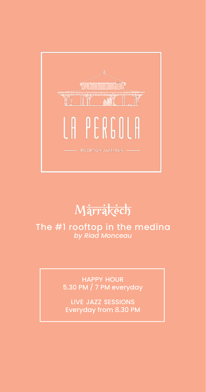happy hour 5.30 PM / 7 PM everyday

live jazz sessions Everyday from 8.30 PM

## The #1 rooftop in the medina *by Riad Monceau*



# **Marrakech**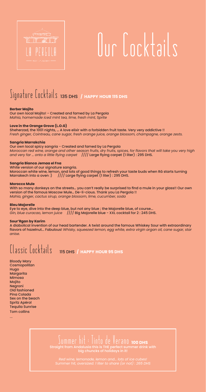## Signature Cocktails 135 DHS **/ happy hour 115 DHS**

### **Berber Mojito**

Our own local Mojito! - Created and famed by La Pergola *Mahia, homemade iced mint tea, lime, fresh mint, Sprite* 

### **Love in the Orange Grove (L.O.G)**

Sheherzad, the 1001 nights, … A love elixir with a forbidden fruit taste. Very very addictive !! *Fresh ginger, Cointreau, cane sugar, fresh orange juice, orange blossom, champagne, orange zests.*

Moroccan white wine, lemon, and lots of good things to refresh your taste buds when Râ starts turning Marrakech into a oven :)  $/$   $/$ /// Large flying carpet (1 liter) : 295 DHS.

#### **Sangria Marrakchia**

Our own local spicy sangria - Created and famed by La Pergola *Moroccan red wine, orange and other season fruits, dry fruits, spices, for flavors that will take you very high and very far … onto a little flying carpet* //// Large flying carpet (1 liter) : 295 DHS.

### **Sangria Bianca Jemaa el Fna**

White version of our signature sangria.

#### **Morocco Mule**

With so many donkeys on the streets… you can't really be surprised to find a mule in your glass!! Our own version of the famous Moscow Mule… De-li-cious. Thank you La Pergola !! *Mahia, ginger, cactus sirup, orange blossom, lime, cucumber, soda*

### **Bleu Majorelle**

Eye to eye, dive into the deep blue, but not any blue ; the Majorelle blue, of course... *Gin, blue curacao, lemon juice* //// Big Majorelle blue - XXL cocktail for 2 : 245 DHS.

### **Sour'Rgan by Karim**

A diabolical invention of our head bartender. A twist around the famous Whiskey Sour with extraordinary flavors of hazelnut... Fabulous! *Whisky, squeezed lemon, egg white, extra virgin argan oil, cane sugar, star anise.*

Classic Cocktails 115 DHS **/ happy hour 95 DHS**

Bloody Mary **Cosmopolitan** Hugo Margarita Mimosa Mojito Negroni Old fashioned Pina Colada Sex on the beach Spritz Apérol Tequila Sunrise Tom collins

...



# Our Cocktails

## Summer hit : Tinto de Verano **100 DHS** Straight from Andalusia this is THE perfect summer drink with big chuncks of holidays in it!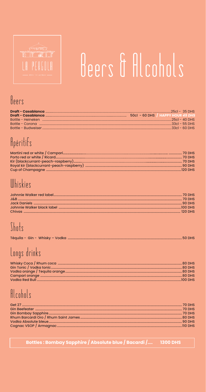

# Beers & Alcohols

## Beers

|                           | 50cl - 60 DHS / HAPPY HOUR 45 DHS |                   |                   |
|---------------------------|-----------------------------------|-------------------|-------------------|
| - Rottle - Heineken       |                                   | $-25$ cl – 40 DHS |                   |
| - Rottle - Corona         |                                   |                   | $-33$ cl – 55 DHS |
| <b>Bottle - Budweiser</b> |                                   |                   | $-33$ cl – 60 DHS |

# Apéritifs

## Whiskies

## Shots

|--|--|--|--|

# Longs drinks

# Alcohols

| Get 2<br>70 DHS                |  |
|--------------------------------|--|
| <b>Gin Beefeater</b><br>70 DHS |  |

#### Bottles : Bombay Sapphire / Absolute blue / Bacardi /.... **1300 DHS**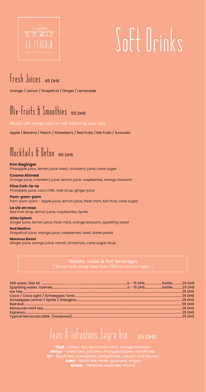## Fresh Juices 45 DHS

Orange / Lemon / Grapefruit / Ginger / Lemonade

## $Mix-Fruits$   $\int _{mnn}$ thies 55 DHS

Apple / Banana / Peach / Strawberry / Red fruits / Mix fruits / Avocado

## Mocktails & Detox 65 DHS

**Kim Baginger** Pineapple juice, lemon juice, basil, cranberry juice, cane sugar

### **Cosmo Ahmed**

Orange juice, cranberry juice, lemon juice, raspberries, orange blossom

### **Pina Coh-la-la**

Pineapple juice, coco milk, rose sirup, ginger juice

### **Pom-pom-pom**

Pom-pom-pom - Apple juice, lemon juice, fresh mint, kiwi fruit, cane sugar

### **La vie en rose**

Red fruit sirup, lemon juice, raspberries, Sprite

**Atlas Splash** Ginger juice, lemon juice, fresh mint, orange blossom, sparkling water

### **Red Medina**

Grapefruit juice, orange juice, raspberries, basil, dates paste

### **Morocco Boost**

Ginger juice, orange juice, carrot, cinnamon, cane sugar sirup.

Waters, sodas & hot beverages

Teas & infusions Sayra bio35 DHS

**Tilsit** - Green tea, Moroccan mint, orange blossom **Dhiya** - Green tea, jasmine, marigold flower, cornflower **Ifri** - Blach tea, rose petals, bergamote, natural rose flavour **Juba** - Black tea, mate, guarana, origan **Antee** - Verbena, lavander, thyme



# Soft Drinks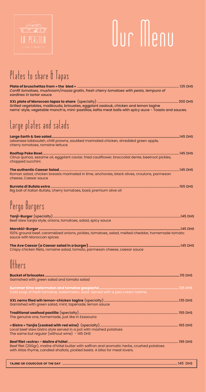| Confit tomatoes, mushroom/mozza gratin, fresh cherry tomatoes with pesto, tempura of<br>sardines in tartar sauce.                                                                            |  |
|----------------------------------------------------------------------------------------------------------------------------------------------------------------------------------------------|--|
| Grilled vegetables, maâkouda, briouates, eggplant zaalouk, chicken and lemon tagine<br>nems' style, vegetable manch'a, mini-pastillas, kefta meat balls with spicy auce - Toasts and sauces. |  |
| Large plates and salads                                                                                                                                                                      |  |
| Lebanese tabbouleh, chilli prawns, sautéed marinated chicken, shredded green apple,<br>cherry tomatoes, romaine lettuce.                                                                     |  |
| Citrus quinoa, sesame oil, eggplant caviar, fried cauliflower, broccolial dente, beetroot pickles,<br>chopped zucchini.                                                                      |  |
| Roman salad, chicken breasts marinated in lime, anchovies, black olives, croutons, parmesan<br>cheese, Caesar sauce                                                                          |  |
| Big ball of Italian Bufala, cherry tomatoes, basil, premium olive oil                                                                                                                        |  |
| Pergo Burgers                                                                                                                                                                                |  |
| Beef stew tanjia style, onions, tomatoes, salad, spicy sauce                                                                                                                                 |  |
| 100% ground beef, caramelized onions, pickles, tomatoes, salad, melted cheddar, homemade tomato<br>sauce with Moroccan spices                                                                |  |
| Crispy chicken filets, romaine salad, tomato, parmesan cheese, caesar sauce                                                                                                                  |  |
| Others                                                                                                                                                                                       |  |
| Garnished with green salad and tomato salad                                                                                                                                                  |  |

**Summer time watermelon and tomatoe gaspacho.................................................................................**125 DHS Cold soup of fresh tomatoe, watermelon, basil. Served with a pea cream tartine.

| Garnished with green salad, mint, tapenade, lemon sauce |  |
|---------------------------------------------------------|--|

**Traditional seafood pastilla** (specialty)....................................................................................................................... 155 DHS The genuine one, homemade, just like in Essaouira **« Bistro » Tanjia (cooked with red wine)** (specialty).............................................................................................. 165 DHS Local beef stew bistro style served in a pot with mashed potatoes The same but regular (without wine) - 145 DHS

**Beef filet «extra» - Maître d'hôtel** .................................................................................................................................... 195 DHS Beef filet (200gr), maitre d'hôtel butter with saffron and aromatic herbs, crushed potatoes with Atlas thyme, candied shallots, pickled beets. A bliss for meat lovers.

**tajine or couscous of the day** .......................................................................................................................................... 145 DHS



# Our Menu

## Plates to share & Tapas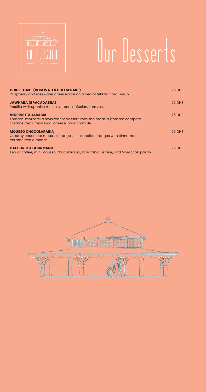| <b>CHICK-CAKE (ROSEWATER CHEESECAKE)</b><br>Raspberry and rosewater cheesecake on a bed of fekkas; floral syrup                                          | <b>75 DHS</b> |
|----------------------------------------------------------------------------------------------------------------------------------------------------------|---------------|
| <b>JAWHARA (BRACADABRA)</b><br>Pastilla with Spanish melon, verbena infusion, lime zest                                                                  | <b>75 DHS</b> |
| <b>VERRINE ITALIARABIA</b><br>Tomato-mozzarella revisited for dessert: matisha mâasla (tomato compote<br>caramelized), fresh local cheese, basil crumble | <b>75 DHS</b> |
| <b>MOUSSO CHOCOLARABIA</b><br>Creamy chocolate mousse, orange zest, candied oranges with cinnamon,<br>caramelized almonds                                | <b>75 DHS</b> |
| <b>CAFE OR TEA GOURMAND</b><br>Tea or coffee, mini Mousso Chocolarabia, Italiarabia verrine, and Moroccan pastry                                         | <b>75 DHS</b> |





# Our Desserts